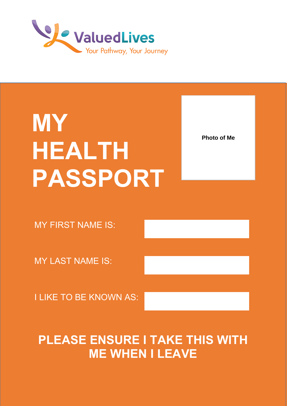

# **MY HEALTH PASSPORT**

**Photo of Me** 

MY FIRST NAME IS:

MY LAST NAME IS:

I LIKE TO BE KNOWN AS:

# **PLEASE ENSURE I TAKE THIS WITH ME WHEN I LEAVE**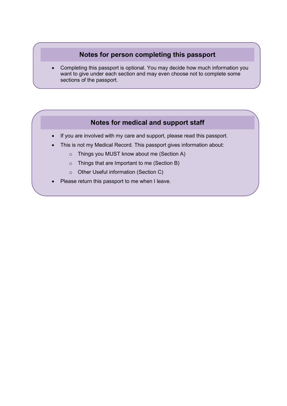### **Notes for person completing this passport**

• Completing this passport is optional. You may decide how much information you want to give under each section and may even choose not to complete some sections of the passport.

### **Notes for medical and support staff**

- If you are involved with my care and support, please read this passport.
- This is not my Medical Record. This passport gives information about:
	- o Things you MUST know about me (Section A)
	- o Things that are Important to me (Section B)
	- o Other Useful information (Section C)
- Please return this passport to me when I leave.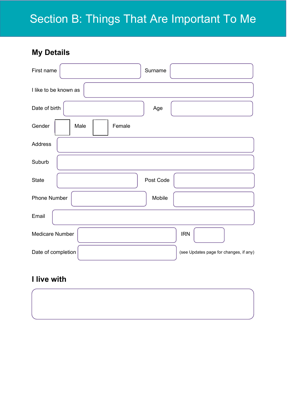**My Details**

| First name               | Surname                                |
|--------------------------|----------------------------------------|
| I like to be known as    |                                        |
| Date of birth            | Age                                    |
| Gender<br>Female<br>Male |                                        |
| Address                  |                                        |
| Suburb                   |                                        |
| <b>State</b>             | Post Code                              |
| Phone Number             | Mobile                                 |
| Email                    |                                        |
| <b>Medicare Number</b>   | <b>IRN</b>                             |
| Date of completion       | (see Updates page for changes, if any) |

### **I live with**

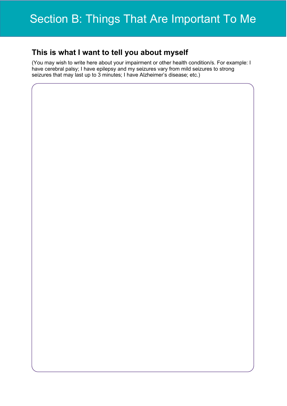### **This is what I want to tell you about myself**

(You may wish to write here about your impairment or other health condition/s. For example: I have cerebral palsy; I have epilepsy and my seizures vary from mild seizures to strong seizures that may last up to 3 minutes; I have Alzheimer's disease; etc.)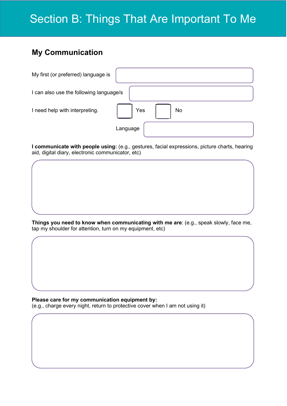### **My Communication**

| My first (or preferred) language is     |           |  |  |  |
|-----------------------------------------|-----------|--|--|--|
| I can also use the following language/s |           |  |  |  |
| I need help with interpreting.          | Yes<br>No |  |  |  |
|                                         | Language  |  |  |  |

**I communicate with people using:** (e.g., gestures, facial expressions, picture charts, hearing aid, digital diary, electronic communicator, etc)

**Things you need to know when communicating with me are**: (e.g., speak slowly, face me, tap my shoulder for attention, turn on my equipment, etc)

**Please care for my communication equipment by:** (e.g., charge every night, return to protective cover when I am not using it)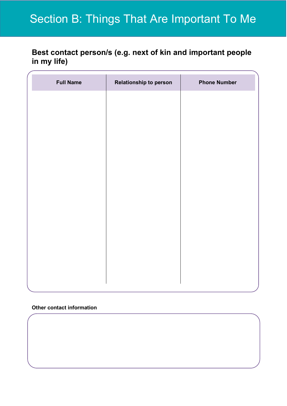### **Best contact person/s (e.g. next of kin and important people in my life)**

| <b>Full Name</b> | Relationship to person | <b>Phone Number</b> |
|------------------|------------------------|---------------------|
|                  |                        |                     |
|                  |                        |                     |
|                  |                        |                     |
|                  |                        |                     |
|                  |                        |                     |
|                  |                        |                     |
|                  |                        |                     |
|                  |                        |                     |
|                  |                        |                     |
|                  |                        |                     |
|                  |                        |                     |
|                  |                        |                     |

### **Other contact information**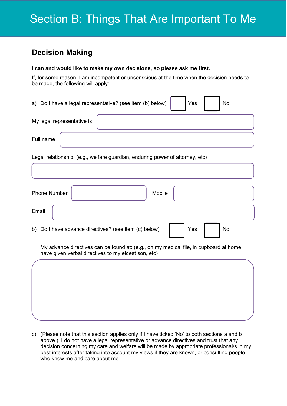### **Decision Making**

#### **I can and would like to make my own decisions, so please ask me first.**

If, for some reason, I am incompetent or unconscious at the time when the decision needs to be made, the following will apply:

|                            | a) Do I have a legal representative? (see item (b) below) | Yes | No |
|----------------------------|-----------------------------------------------------------|-----|----|
| My legal representative is |                                                           |     |    |
| Full name                  |                                                           |     |    |

Legal relationship: (e.g., welfare guardian, enduring power of attorney, etc)

| <b>Phone Number</b>                                   | Mobile |     |    |
|-------------------------------------------------------|--------|-----|----|
| Email                                                 |        |     |    |
| b) Do I have advance directives? (see item (c) below) |        | Yes | No |

My advance directives can be found at: (e.g., on my medical file, in cupboard at home, I have given verbal directives to my eldest son, etc)

c) (Please note that this section applies only if I have ticked 'No' to both sections a and b above.) I do not have a legal representative or advance directives and trust that any decision concerning my care and welfare will be made by appropriate professional/s in my best interests after taking into account my views if they are known, or consulting people who know me and care about me.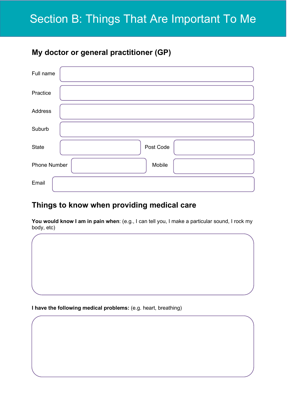### **My doctor or general practitioner (GP)**

| Full name           |           |
|---------------------|-----------|
| Practice            |           |
| Address             |           |
| Suburb              |           |
| <b>State</b>        | Post Code |
| <b>Phone Number</b> | Mobile    |
| Email               |           |

### **Things to know when providing medical care**

**You would know I am in pain when**: (e.g., I can tell you, I make a particular sound, I rock my body, etc)

**I have the following medical problems:** (e.g. heart, breathing)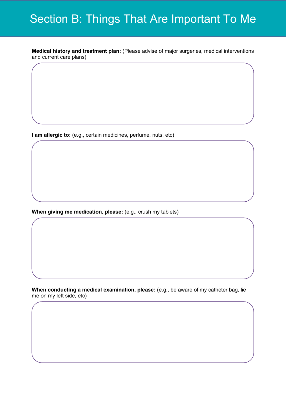**Medical history and treatment plan:** (Please advise of major surgeries, medical interventions and current care plans)

**I am allergic to:** (e.g., certain medicines, perfume, nuts, etc)

**When giving me medication, please:** (e.g., crush my tablets)

**When conducting a medical examination, please:** (e.g., be aware of my catheter bag, lie me on my left side, etc)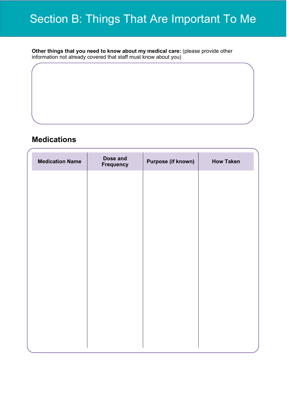**Other things that you need to know about my medical care:** (please provide other information not already covered that staff must know about you)

### **Medications**

| <b>Medication Name</b> | Dose and<br>Frequency | <b>Purpose (if known)</b> | <b>How Taken</b> |
|------------------------|-----------------------|---------------------------|------------------|
|                        |                       |                           |                  |
|                        |                       |                           |                  |
|                        |                       |                           |                  |
|                        |                       |                           |                  |
|                        |                       |                           |                  |
|                        |                       |                           |                  |
|                        |                       |                           |                  |
|                        |                       |                           |                  |
|                        |                       |                           |                  |
|                        |                       |                           |                  |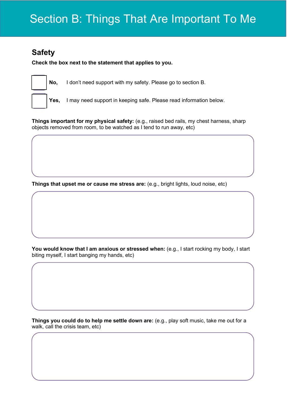### **Safety**

**Check the box next to the statement that applies to you.** 



**No,** I don't need support with my safety. Please go to section B.

**Yes,** I may need support in keeping safe. Please read information below.

**Things important for my physical safety:** (e.g., raised bed rails, my chest harness, sharp objects removed from room, to be watched as I tend to run away, etc)

**Things that upset me or cause me stress are:** (e.g., bright lights, loud noise, etc)

You would know that I am anxious or stressed when: (e.g., I start rocking my body, I start biting myself, I start banging my hands, etc)

**Things you could do to help me settle down are:** (e.g., play soft music, take me out for a walk, call the crisis team, etc)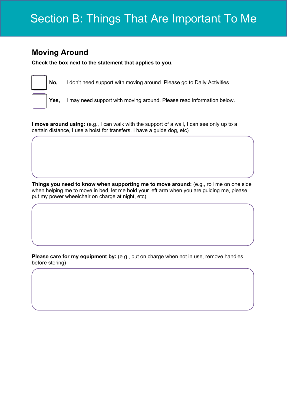### **Moving Around**

**Check the box next to the statement that applies to you.** 



**No,** I don't need support with moving around. Please go to Daily Activities.

**Yes,** I may need support with moving around. Please read information below.

**I move around using:** (e.g., I can walk with the support of a wall, I can see only up to a certain distance, I use a hoist for transfers, I have a guide dog, etc)

**Things you need to know when supporting me to move around:** (e.g., roll me on one side when helping me to move in bed, let me hold your left arm when you are guiding me, please put my power wheelchair on charge at night, etc)

**Please care for my equipment by:** (e.g., put on charge when not in use, remove handles before storing)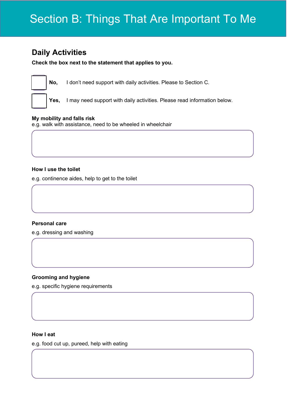### **Daily Activities**

**Check the box next to the statement that applies to you.** 



**No,** I don't need support with daily activities. Please to Section C.

**Yes,** I may need support with daily activities. Please read information below.

#### **My mobility and falls risk**

e.g. walk with assistance, need to be wheeled in wheelchair

#### **How I use the toilet**

e.g. continence aides, help to get to the toilet

### **Personal care**

e.g. dressing and washing

### **Grooming and hygiene**

e.g. specific hygiene requirements

#### **How I eat**

e.g. food cut up, pureed, help with eating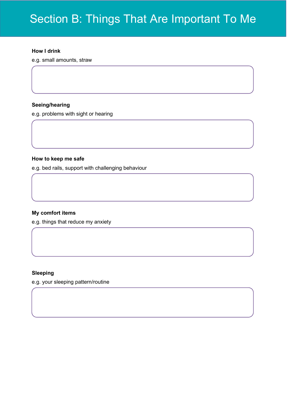#### **How I drink**

e.g. small amounts, straw

#### **Seeing/hearing**

e.g. problems with sight or hearing

#### **How to keep me safe**

e.g. bed rails, support with challenging behaviour

### **My comfort items**

e.g. things that reduce my anxiety

#### **Sleeping**

e.g. your sleeping pattern/routine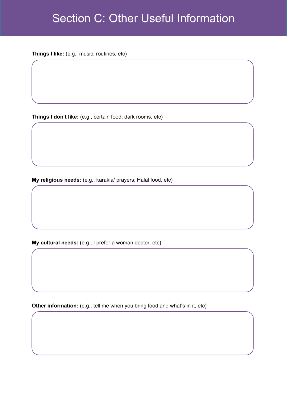### Section C: Other Useful Information

**Things I like:** (e.g., music, routines, etc)

**Things I don't like:** (e.g., certain food, dark rooms, etc)

**My religious needs:** (e.g., karakia/ prayers, Halal food, etc)

**My cultural needs:** (e.g., I prefer a woman doctor, etc)

**Other information:** (e.g., tell me when you bring food and what's in it, etc)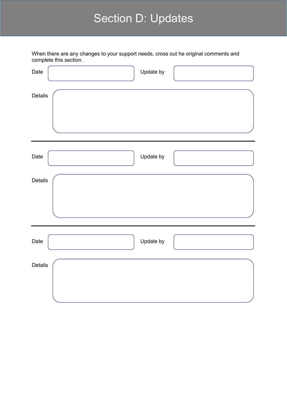# Section D: Updates

|                | When there are any changes to your support needs, cross out he original comments and<br>complete this section. |
|----------------|----------------------------------------------------------------------------------------------------------------|
| Date           | Update by                                                                                                      |
| Details        |                                                                                                                |
| Date           | Update by                                                                                                      |
| Details        |                                                                                                                |
| Date           | Update by                                                                                                      |
| <b>Details</b> |                                                                                                                |